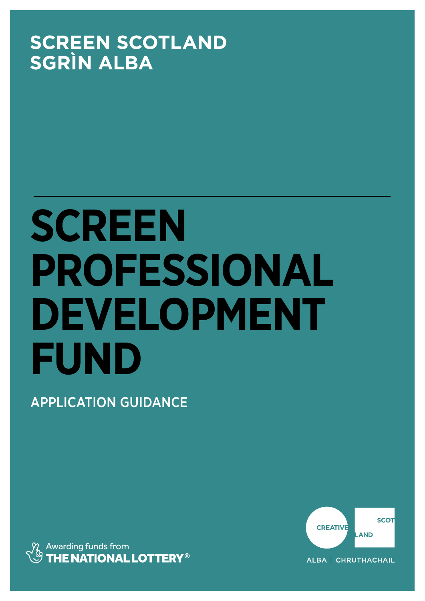# **SCREEN SCOTLAND SGRÌN ALBA**

# **SCREEN PROFESSIONAL DEVELOPMENT FUND**

APPLICATION GUIDANCE



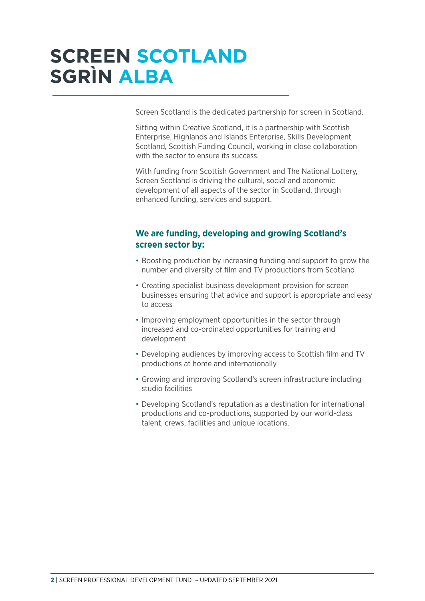# **SCREEN SCOTLAND SGRÌN ALBA**

Screen Scotland is the dedicated partnership for screen in Scotland.

Sitting within Creative Scotland, it is a partnership with Scottish Enterprise, Highlands and Islands Enterprise, Skills Development Scotland, Scottish Funding Council, working in close collaboration with the sector to ensure its success.

With funding from Scottish Government and The National Lottery, Screen Scotland is driving the cultural, social and economic development of all aspects of the sector in Scotland, through enhanced funding, services and support.

### **We are funding, developing and growing Scotland's screen sector by:**

- Boosting production by increasing funding and support to grow the number and diversity of film and TV productions from Scotland
- Creating specialist business development provision for screen businesses ensuring that advice and support is appropriate and easy to access
- Improving employment opportunities in the sector through increased and co-ordinated opportunities for training and development
- Developing audiences by improving access to Scottish film and TV productions at home and internationally
- Growing and improving Scotland's screen infrastructure including studio facilities
- Developing Scotland's reputation as a destination for international productions and co-productions, supported by our world-class talent, crews, facilities and unique locations.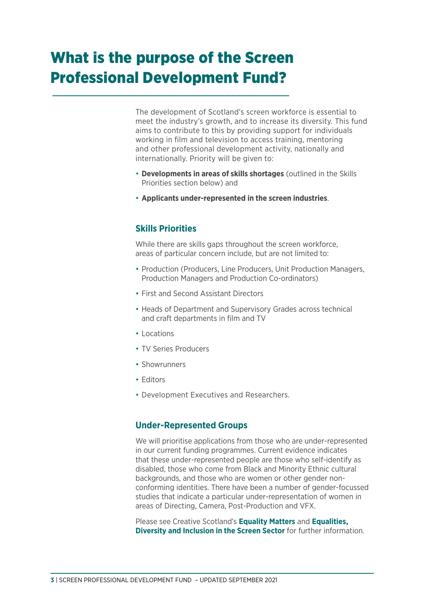# What is the purpose of the Screen Professional Development Fund?

The development of Scotland's screen workforce is essential to meet the industry's growth, and to increase its diversity. This fund aims to contribute to this by providing support for individuals working in film and television to access training, mentoring and other professional development activity, nationally and internationally. Priority will be given to:

- **Developments in areas of skills shortages** (outlined in the Skills Priorities section below) and
- **Applicants under-represented in the screen industries**.

### **Skills Priorities**

While there are skills gaps throughout the screen workforce, areas of particular concern include, but are not limited to:

- Production (Producers, Line Producers, Unit Production Managers, Production Managers and Production Co-ordinators)
- First and Second Assistant Directors
- Heads of Department and Supervisory Grades across technical and craft departments in film and TV
- Locations
- TV Series Producers
- Showrunners
- Editors
- Development Executives and Researchers.

### **Under-Represented Groups**

We will prioritise applications from those who are under-represented in our current funding programmes. Current evidence indicates that these under-represented people are those who self-identify as disabled, those who come from Black and Minority Ethnic cultural backgrounds, and those who are women or other gender nonconforming identities. There have been a number of gender-focussed studies that indicate a particular under-representation of women in areas of Directing, Camera, Post-Production and VFX.

Please see Creative Scotland's **[Equality Matters](https://www.creativescotland.com/resources/professional-resources/research/creative-scotland-research/equality-matters)** and **[Equalities,](https://www.creativescotland.com/__data/assets/pdf_file/0010/35020/ScreenEqualitiesSurveyMay2016.pdf)  [Diversity and Inclusion in the Screen Sector](https://www.creativescotland.com/__data/assets/pdf_file/0010/35020/ScreenEqualitiesSurveyMay2016.pdf)** for further information.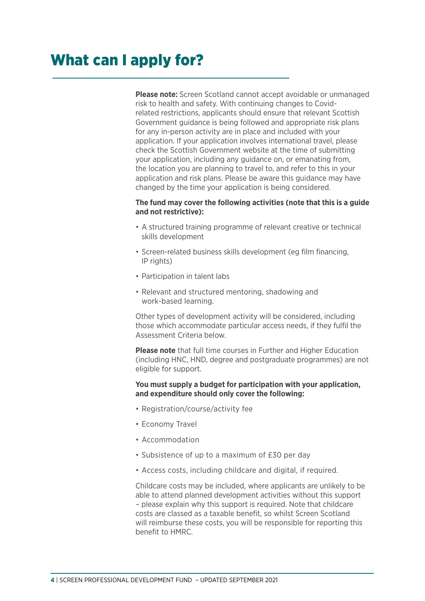**Please note:** Screen Scotland cannot accept avoidable or unmanaged risk to health and safety. With continuing changes to Covidrelated restrictions, applicants should ensure that relevant Scottish Government guidance is being followed and appropriate risk plans for any in-person activity are in place and included with your application. If your application involves international travel, please check the Scottish Government website at the time of submitting your application, including any guidance on, or emanating from, the location you are planning to travel to, and refer to this in your application and risk plans. Please be aware this guidance may have changed by the time your application is being considered.

#### **The fund may cover the following activities (note that this is a guide and not restrictive):**

- A structured training programme of relevant creative or technical skills development
- Screen-related business skills development (eg film financing, IP rights)
- Participation in talent labs
- Relevant and structured mentoring, shadowing and work-based learning.

Other types of development activity will be considered, including those which accommodate particular access needs, if they fulfil the Assessment Criteria below.

**Please note** that full time courses in Further and Higher Education (including HNC, HND, degree and postgraduate programmes) are not eligible for support.

#### **You must supply a budget for participation with your application, and expenditure should only cover the following:**

- Registration/course/activity fee
- Economy Travel
- Accommodation
- Subsistence of up to a maximum of £30 per day
- Access costs, including childcare and digital, if required.

Childcare costs may be included, where applicants are unlikely to be able to attend planned development activities without this support – please explain why this support is required. Note that childcare costs are classed as a taxable benefit, so whilst Screen Scotland will reimburse these costs, you will be responsible for reporting this benefit to HMRC.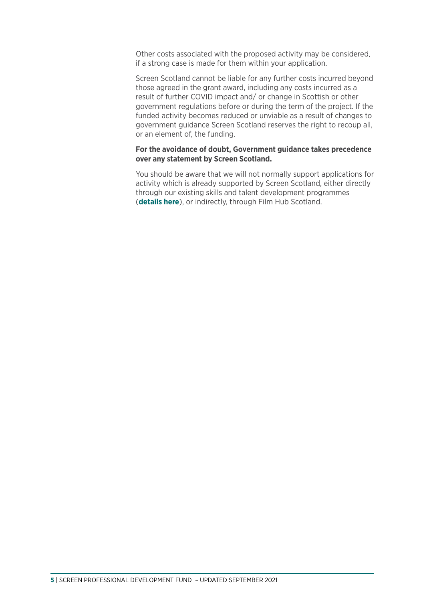Other costs associated with the proposed activity may be considered, if a strong case is made for them within your application.

Screen Scotland cannot be liable for any further costs incurred beyond those agreed in the grant award, including any costs incurred as a result of further COVID impact and/ or change in Scottish or other government regulations before or during the term of the project. If the funded activity becomes reduced or unviable as a result of changes to government guidance Screen Scotland reserves the right to recoup all, or an element of, the funding.

#### **For the avoidance of doubt, Government guidance takes precedence over any statement by Screen Scotland.**

You should be aware that we will not normally support applications for activity which is already supported by Screen Scotland, either directly through our existing skills and talent development programmes (**[details here](https://www.screen.scot/skills-and-talent/supported-programmes)**), or indirectly, through Film Hub Scotland.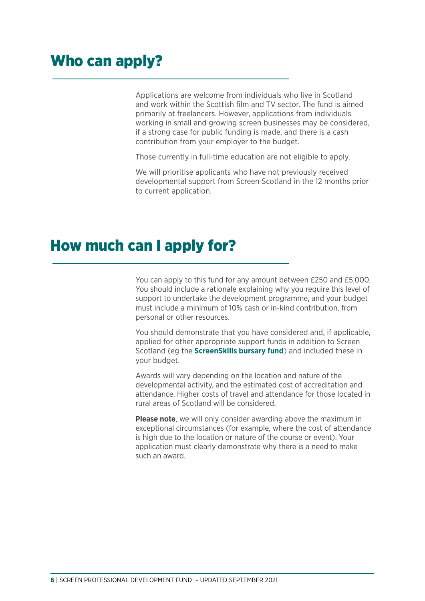### Who can apply?

Applications are welcome from individuals who live in Scotland and work within the Scottish film and TV sector. The fund is aimed primarily at freelancers. However, applications from individuals working in small and growing screen businesses may be considered, if a strong case for public funding is made, and there is a cash contribution from your employer to the budget.

Those currently in full-time education are not eligible to apply.

We will prioritise applicants who have not previously received developmental support from Screen Scotland in the 12 months prior to current application.

### How much can I apply for?

You can apply to this fund for any amount between £250 and £5,000. You should include a rationale explaining why you require this level of support to undertake the development programme, and your budget must include a minimum of 10% cash or in-kind contribution, from personal or other resources.

You should demonstrate that you have considered and, if applicable, applied for other appropriate support funds in addition to Screen Scotland (eg the **[ScreenSkills bursary fund](https://www.screenskills.com/pitches/screenskills-bursaries-apply-for-funding-to-progress-your-career/e1a40527-ea77-499f-a303-ced2c120d66f/)**) and included these in your budget.

Awards will vary depending on the location and nature of the developmental activity, and the estimated cost of accreditation and attendance. Higher costs of travel and attendance for those located in rural areas of Scotland will be considered.

**Please note**, we will only consider awarding above the maximum in exceptional circumstances (for example, where the cost of attendance is high due to the location or nature of the course or event). Your application must clearly demonstrate why there is a need to make such an award.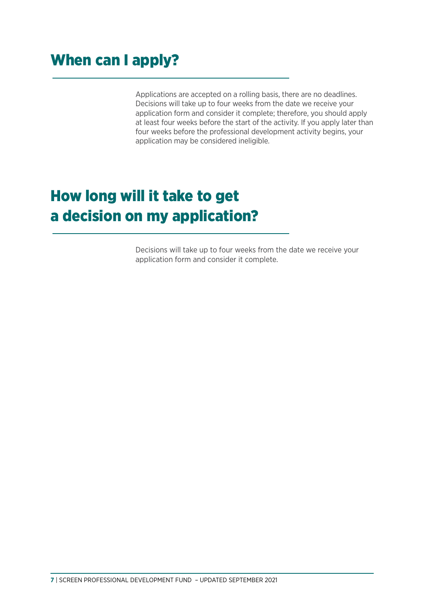### When can I apply?

Applications are accepted on a rolling basis, there are no deadlines. Decisions will take up to four weeks from the date we receive your application form and consider it complete; therefore, you should apply at least four weeks before the start of the activity. If you apply later than four weeks before the professional development activity begins, your application may be considered ineligible.

# How long will it take to get a decision on my application?

Decisions will take up to four weeks from the date we receive your application form and consider it complete.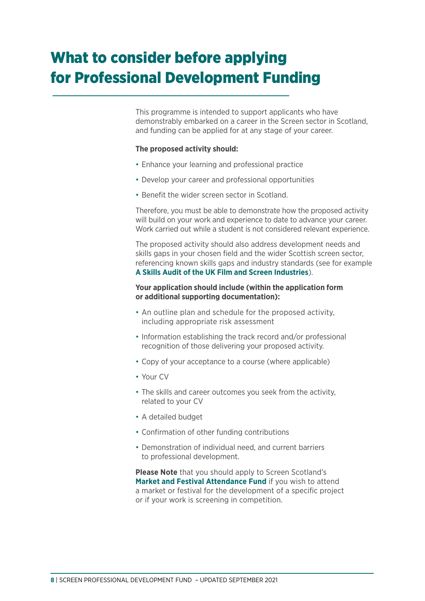# What to consider before applying for Professional Development Funding

This programme is intended to support applicants who have demonstrably embarked on a career in the Screen sector in Scotland, and funding can be applied for at any stage of your career.

#### **The proposed activity should:**

- Enhance your learning and professional practice
- Develop your career and professional opportunities
- Benefit the wider screen sector in Scotland.

Therefore, you must be able to demonstrate how the proposed activity will build on your work and experience to date to advance your career. Work carried out while a student is not considered relevant experience.

The proposed activity should also address development needs and skills gaps in your chosen field and the wider Scottish screen sector, referencing known skills gaps and industry standards (see for example **[A Skills Audit of the UK Film and Screen Industries](http://www.theworkfoundation.com/wp-content/uploads/2016/10/420_A-Skills-Audit-of-the-UK-Film-and-Screen-Industries.pdf)**).

#### **Your application should include (within the application form or additional supporting documentation):**

- An outline plan and schedule for the proposed activity, including appropriate risk assessment
- Information establishing the track record and/or professional recognition of those delivering your proposed activity.
- Copy of your acceptance to a course (where applicable)
- Your CV
- The skills and career outcomes you seek from the activity, related to your CV
- A detailed budget
- Confirmation of other funding contributions
- Demonstration of individual need, and current barriers to professional development.

**Please Note** that you should apply to Screen Scotland's **[Market and Festival Attendance Fund](https://www.screen.scot/funding-and-support/screen-scotland-funding/market-and-festival-attendance-fund)** if you wish to attend a market or festival for the development of a specific project or if your work is screening in competition.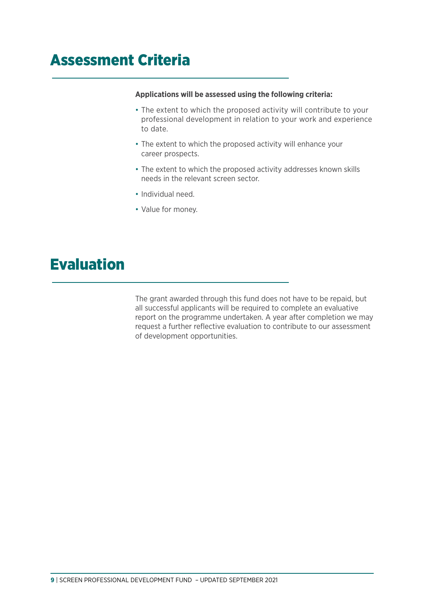### Assessment Criteria

#### **Applications will be assessed using the following criteria:**

- The extent to which the proposed activity will contribute to your professional development in relation to your work and experience to date.
- The extent to which the proposed activity will enhance your career prospects.
- The extent to which the proposed activity addresses known skills needs in the relevant screen sector.
- Individual need.
- Value for money.

### Evaluation

The grant awarded through this fund does not have to be repaid, but all successful applicants will be required to complete an evaluative report on the programme undertaken. A year after completion we may request a further reflective evaluation to contribute to our assessment of development opportunities.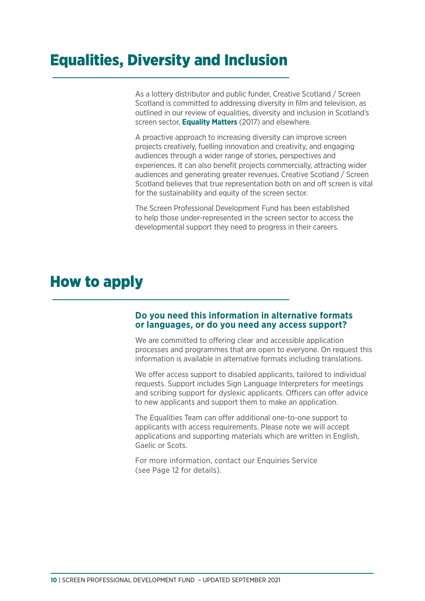### Equalities, Diversity and Inclusion

As a lottery distributor and public funder, Creative Scotland / Screen Scotland is committed to addressing diversity in film and television, as outlined in our review of equalities, diversity and inclusion in Scotland's screen sector, **[Equality Matters](https://www.creativescotland.com/resources/professional-resources/research/creative-scotland-research/equality-matters)** (2017) and elsewhere.

A proactive approach to increasing diversity can improve screen projects creatively, fuelling innovation and creativity, and engaging audiences through a wider range of stories, perspectives and experiences. It can also benefit projects commercially, attracting wider audiences and generating greater revenues. Creative Scotland / Screen Scotland believes that true representation both on and off screen is vital for the sustainability and equity of the screen sector.

The Screen Professional Development Fund has been established to help those under-represented in the screen sector to access the developmental support they need to progress in their careers.

### How to apply

# **Do you need this information in alternative formats or languages, or do you need any access support?**

We are committed to offering clear and accessible application processes and programmes that are open to everyone. On request this information is available in alternative formats including translations.

We offer access support to disabled applicants, tailored to individual requests. Support includes Sign Language Interpreters for meetings and scribing support for dyslexic applicants. Officers can offer advice to new applicants and support them to make an application.

The Equalities Team can offer additional one-to-one support to applicants with access requirements. Please note we will accept applications and supporting materials which are written in English, Gaelic or Scots.

For more information, contact our Enquiries Service (see Page 12 for details).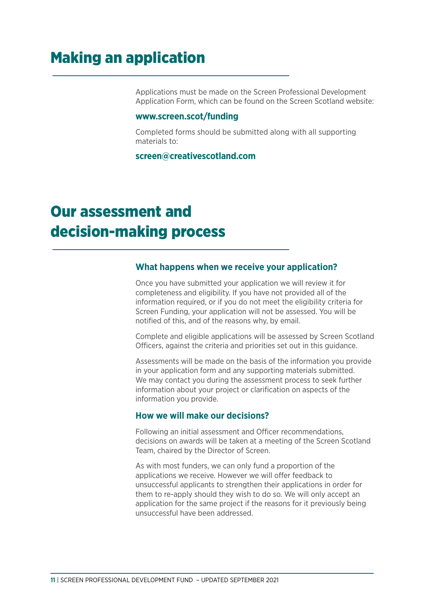### Making an application

Applications must be made on the Screen Professional Development Application Form, which can be found on the Screen Scotland website:

#### **[www.screen.scot/funding](www.screen.scot/fundinghttp://)**

Completed forms should be submitted along with all supporting materials to:

#### **[screen@creativescotland.com](mailto:screen@creativescotland.com)**

### Our assessment and decision-making process

#### **What happens when we receive your application?**

Once you have submitted your application we will review it for completeness and eligibility. If you have not provided all of the information required, or if you do not meet the eligibility criteria for Screen Funding, your application will not be assessed. You will be notified of this, and of the reasons why, by email.

Complete and eligible applications will be assessed by Screen Scotland Officers, against the criteria and priorities set out in this guidance.

Assessments will be made on the basis of the information you provide in your application form and any supporting materials submitted. We may contact you during the assessment process to seek further information about your project or clarification on aspects of the information you provide.

### **How we will make our decisions?**

Following an initial assessment and Officer recommendations, decisions on awards will be taken at a meeting of the Screen Scotland Team, chaired by the Director of Screen.

As with most funders, we can only fund a proportion of the applications we receive. However we will offer feedback to unsuccessful applicants to strengthen their applications in order for them to re-apply should they wish to do so. We will only accept an application for the same project if the reasons for it previously being unsuccessful have been addressed.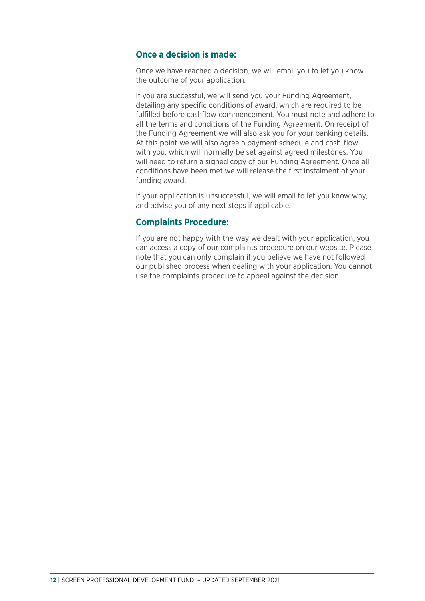### **Once a decision is made:**

Once we have reached a decision, we will email you to let you know the outcome of your application.

If you are successful, we will send you your Funding Agreement, detailing any specific conditions of award, which are required to be fulfilled before cashflow commencement. You must note and adhere to all the terms and conditions of the Funding Agreement. On receipt of the Funding Agreement we will also ask you for your banking details. At this point we will also agree a payment schedule and cash-flow with you, which will normally be set against agreed milestones. You will need to return a signed copy of our Funding Agreement. Once all conditions have been met we will release the first instalment of your funding award.

If your application is unsuccessful, we will email to let you know why, and advise you of any next steps if applicable.

### **Complaints Procedure:**

If you are not happy with the way we dealt with your application, you can access a copy of our complaints procedure on our website. Please note that you can only complain if you believe we have not followed our published process when dealing with your application. You cannot use the complaints procedure to appeal against the decision.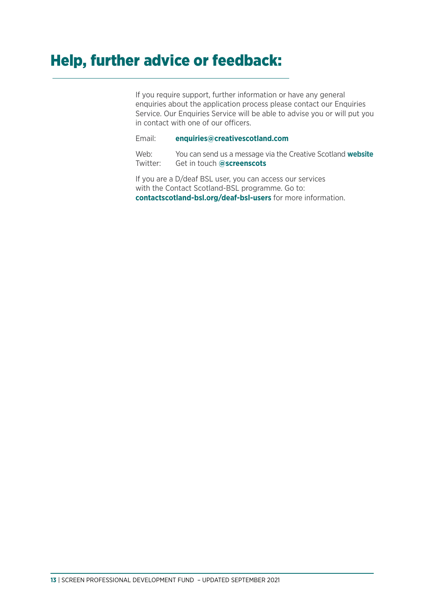### Help, further advice or feedback:

If you require support, further information or have any general enquiries about the application process please contact our Enquiries Service. Our Enquiries Service will be able to advise you or will put you in contact with one of our officers.

Email: **[enquiries@creativescotland.com](mailto:enquiries@creativescotland.com)**

Web: You can send us a message via the Creative Scotland **[website](http://www.creativescotland.com/contact-us)** Twitter: Get in touch **[@screenscots](https://twitter.com/screenscots)**

If you are a D/deaf BSL user, you can access our services with the Contact Scotland-BSL programme. Go to: **contactscotland-bsl.org/deaf-bsl-users** for more information.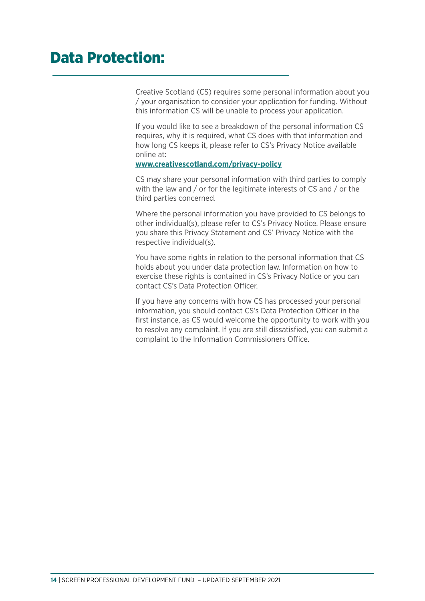### Data Protection:

Creative Scotland (CS) requires some personal information about you / your organisation to consider your application for funding. Without this information CS will be unable to process your application.

If you would like to see a breakdown of the personal information CS requires, why it is required, what CS does with that information and how long CS keeps it, please refer to CS's Privacy Notice available online at:

#### **[www.creativescotland.com/privacy-policy](mailto:screen@creativescotland.com)**

CS may share your personal information with third parties to comply with the law and / or for the legitimate interests of CS and / or the third parties concerned.

Where the personal information you have provided to CS belongs to other individual(s), please refer to CS's Privacy Notice. Please ensure you share this Privacy Statement and CS' Privacy Notice with the respective individual(s).

You have some rights in relation to the personal information that CS holds about you under data protection law. Information on how to exercise these rights is contained in CS's Privacy Notice or you can contact CS's Data Protection Officer.

If you have any concerns with how CS has processed your personal information, you should contact CS's Data Protection Officer in the first instance, as CS would welcome the opportunity to work with you to resolve any complaint. If you are still dissatisfied, you can submit a complaint to the Information Commissioners Office.